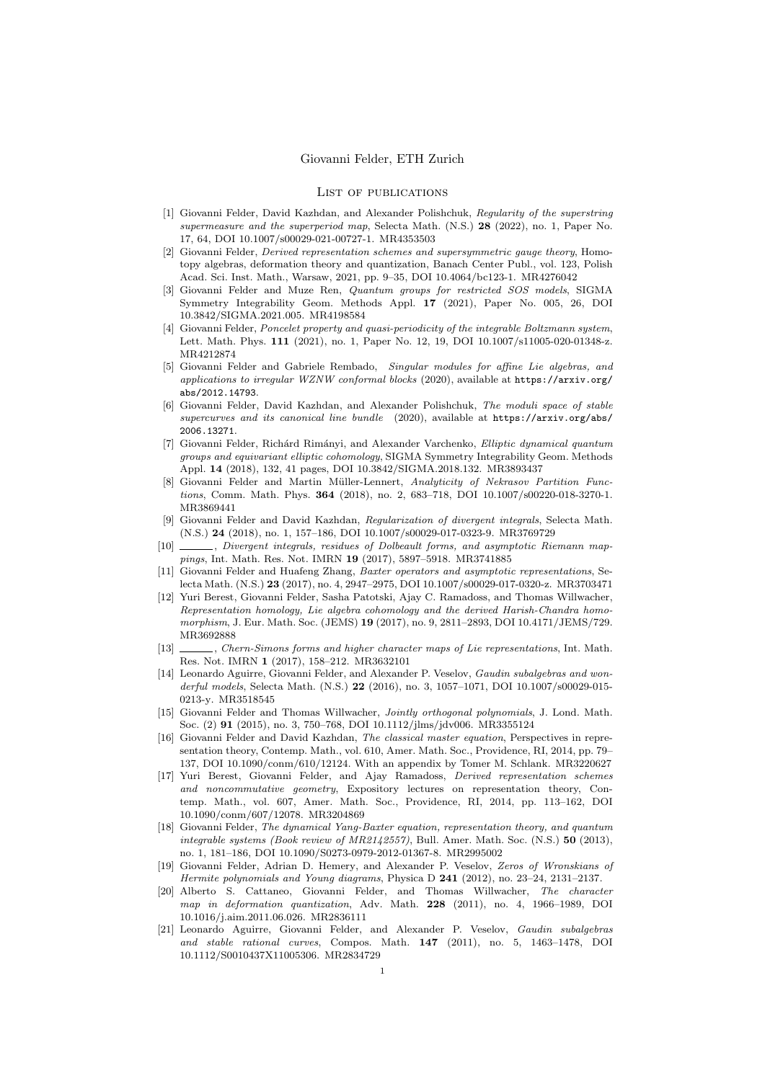## List of publications

- [1] Giovanni Felder, David Kazhdan, and Alexander Polishchuk, Regularity of the superstring supermeasure and the superperiod map, Selecta Math. (N.S.) 28 (2022), no. 1, Paper No. 17, 64, DOI 10.1007/s00029-021-00727-1. MR4353503
- Giovanni Felder, Derived representation schemes and supersymmetric gauge theory, Homotopy algebras, deformation theory and quantization, Banach Center Publ., vol. 123, Polish Acad. Sci. Inst. Math., Warsaw, 2021, pp. 9–35, DOI 10.4064/bc123-1. MR4276042
- [3] Giovanni Felder and Muze Ren, Quantum groups for restricted SOS models, SIGMA Symmetry Integrability Geom. Methods Appl. 17 (2021), Paper No. 005, 26, DOI 10.3842/SIGMA.2021.005. MR4198584
- [4] Giovanni Felder, Poncelet property and quasi-periodicity of the integrable Boltzmann system, Lett. Math. Phys. 111 (2021), no. 1, Paper No. 12, 19, DOI 10.1007/s11005-020-01348-z. MR4212874
- [5] Giovanni Felder and Gabriele Rembado, Singular modules for affine Lie algebras, and applications to irregular WZNW conformal blocks (2020), available at https://arxiv.org/ abs/2012.14793.
- [6] Giovanni Felder, David Kazhdan, and Alexander Polishchuk, The moduli space of stable supercurves and its canonical line bundle  $(2020)$ , available at https://arxiv.org/abs/ 2006.13271.
- [7] Giovanni Felder, Richárd Rimányi, and Alexander Varchenko, Elliptic dynamical quantum groups and equivariant elliptic cohomology, SIGMA Symmetry Integrability Geom. Methods Appl. 14 (2018), 132, 41 pages, DOI 10.3842/SIGMA.2018.132. MR3893437
- Giovanni Felder and Martin Müller-Lennert, Analyticity of Nekrasov Partition Functions, Comm. Math. Phys. 364 (2018), no. 2, 683–718, DOI 10.1007/s00220-018-3270-1. MR3869441
- [9] Giovanni Felder and David Kazhdan, Regularization of divergent integrals, Selecta Math. (N.S.) 24 (2018), no. 1, 157–186, DOI 10.1007/s00029-017-0323-9. MR3769729
- [10] , Divergent integrals, residues of Dolbeault forms, and asymptotic Riemann mappings, Int. Math. Res. Not. IMRN 19 (2017), 5897–5918. MR3741885
- [11] Giovanni Felder and Huafeng Zhang, Baxter operators and asymptotic representations, Selecta Math. (N.S.) 23 (2017), no. 4, 2947–2975, DOI 10.1007/s00029-017-0320-z. MR3703471
- [12] Yuri Berest, Giovanni Felder, Sasha Patotski, Ajay C. Ramadoss, and Thomas Willwacher, Representation homology, Lie algebra cohomology and the derived Harish-Chandra homomorphism, J. Eur. Math. Soc. (JEMS) 19 (2017), no. 9, 2811–2893, DOI 10.4171/JEMS/729. MR3692888
- [13] , Chern-Simons forms and higher character maps of Lie representations, Int. Math. Res. Not. IMRN 1 (2017), 158–212. MR3632101
- [14] Leonardo Aguirre, Giovanni Felder, and Alexander P. Veselov, Gaudin subalgebras and wonderful models, Selecta Math. (N.S.) 22 (2016), no. 3, 1057-1071, DOI 10.1007/s00029-015-0213-y. MR3518545
- [15] Giovanni Felder and Thomas Willwacher, Jointly orthogonal polynomials, J. Lond. Math. Soc. (2) 91 (2015), no. 3, 750–768, DOI 10.1112/jlms/jdv006. MR3355124
- [16] Giovanni Felder and David Kazhdan, The classical master equation, Perspectives in representation theory, Contemp. Math., vol. 610, Amer. Math. Soc., Providence, RI, 2014, pp. 79– 137, DOI 10.1090/conm/610/12124. With an appendix by Tomer M. Schlank. MR3220627
- [17] Yuri Berest, Giovanni Felder, and Ajay Ramadoss, Derived representation schemes and noncommutative geometry, Expository lectures on representation theory, Contemp. Math., vol. 607, Amer. Math. Soc., Providence, RI, 2014, pp. 113–162, DOI 10.1090/conm/607/12078. MR3204869
- [18] Giovanni Felder, The dynamical Yang-Baxter equation, representation theory, and quantum integrable systems (Book review of MR2142557), Bull. Amer. Math. Soc. (N.S.) 50 (2013), no. 1, 181–186, DOI 10.1090/S0273-0979-2012-01367-8. MR2995002
- [19] Giovanni Felder, Adrian D. Hemery, and Alexander P. Veselov, Zeros of Wronskians of Hermite polynomials and Young diagrams, Physica D 241 (2012), no. 23–24, 2131–2137.
- [20] Alberto S. Cattaneo, Giovanni Felder, and Thomas Willwacher, The character map in deformation quantization, Adv. Math. 228 (2011), no. 4, 1966–1989, DOI 10.1016/j.aim.2011.06.026. MR2836111
- [21] Leonardo Aguirre, Giovanni Felder, and Alexander P. Veselov, Gaudin subalgebras and stable rational curves, Compos. Math. 147 (2011), no. 5, 1463–1478, DOI 10.1112/S0010437X11005306. MR2834729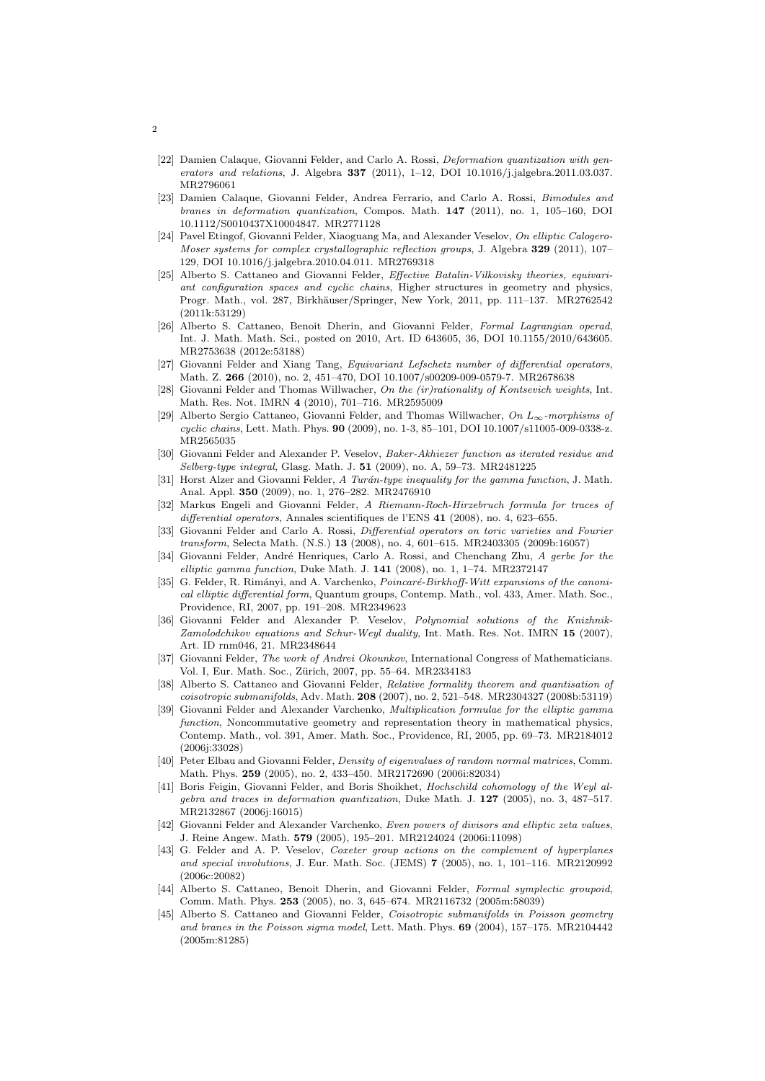- [22] Damien Calaque, Giovanni Felder, and Carlo A. Rossi, *Deformation quantization with gen*erators and relations, J. Algebra 337 (2011), 1-12, DOI 10.1016/j.jalgebra.2011.03.037. MR2796061
- [23] Damien Calaque, Giovanni Felder, Andrea Ferrario, and Carlo A. Rossi, Bimodules and branes in deformation quantization, Compos. Math. 147 (2011), no. 1, 105–160, DOI 10.1112/S0010437X10004847. MR2771128
- [24] Pavel Etingof, Giovanni Felder, Xiaoguang Ma, and Alexander Veselov, On elliptic Calogero-Moser systems for complex crystallographic reflection groups, J. Algebra 329 (2011), 107– 129, DOI 10.1016/j.jalgebra.2010.04.011. MR2769318
- [25] Alberto S. Cattaneo and Giovanni Felder, Effective Batalin-Vilkovisky theories, equivariant configuration spaces and cyclic chains, Higher structures in geometry and physics, Progr. Math., vol. 287, Birkhäuser/Springer, New York, 2011, pp. 111-137. MR2762542 (2011k:53129)
- [26] Alberto S. Cattaneo, Benoit Dherin, and Giovanni Felder, Formal Lagrangian operad, Int. J. Math. Math. Sci., posted on 2010, Art. ID 643605, 36, DOI 10.1155/2010/643605. MR2753638 (2012e:53188)
- [27] Giovanni Felder and Xiang Tang, Equivariant Lefschetz number of differential operators, Math. Z. 266 (2010), no. 2, 451–470, DOI 10.1007/s00209-009-0579-7. MR2678638
- [28] Giovanni Felder and Thomas Willwacher, On the (ir)rationality of Kontsevich weights, Int. Math. Res. Not. IMRN 4 (2010), 701–716. MR2595009
- [29] Alberto Sergio Cattaneo, Giovanni Felder, and Thomas Willwacher, On L∞-morphisms of cyclic chains, Lett. Math. Phys. 90 (2009), no. 1-3, 85–101, DOI 10.1007/s11005-009-0338-z. MR2565035
- [30] Giovanni Felder and Alexander P. Veselov, Baker-Akhiezer function as iterated residue and Selberg-type integral, Glasg. Math. J. 51 (2009), no. A, 59–73. MR2481225
- [31] Horst Alzer and Giovanni Felder, A Turán-type inequality for the gamma function, J. Math. Anal. Appl. 350 (2009), no. 1, 276–282. MR2476910
- [32] Markus Engeli and Giovanni Felder, A Riemann-Roch-Hirzebruch formula for traces of differential operators, Annales scientifiques de l'ENS 41 (2008), no. 4, 623-655.
- [33] Giovanni Felder and Carlo A. Rossi, *Differential operators on toric varieties and Fourier* transform, Selecta Math. (N.S.) 13 (2008), no. 4, 601–615. MR2403305 (2009b:16057)
- [34] Giovanni Felder, André Henriques, Carlo A. Rossi, and Chenchang Zhu, A gerbe for the elliptic gamma function, Duke Math. J. 141 (2008), no. 1, 1–74. MR2372147
- [35] G. Felder, R. Rimányi, and A. Varchenko, Poincaré-Birkhoff-Witt expansions of the canonical elliptic differential form, Quantum groups, Contemp. Math., vol. 433, Amer. Math. Soc., Providence, RI, 2007, pp. 191–208. MR2349623
- [36] Giovanni Felder and Alexander P. Veselov, Polynomial solutions of the Knizhnik-Zamolodchikov equations and Schur-Weyl duality, Int. Math. Res. Not. IMRN 15 (2007), Art. ID rnm046, 21. MR2348644
- [37] Giovanni Felder, The work of Andrei Okounkov, International Congress of Mathematicians. Vol. I, Eur. Math. Soc., Zürich, 2007, pp. 55–64. MR2334183
- [38] Alberto S. Cattaneo and Giovanni Felder, Relative formality theorem and quantisation of coisotropic submanifolds, Adv. Math. 208 (2007), no. 2, 521–548. MR2304327 (2008b:53119)
- [39] Giovanni Felder and Alexander Varchenko, Multiplication formulae for the elliptic gamma function, Noncommutative geometry and representation theory in mathematical physics, Contemp. Math., vol. 391, Amer. Math. Soc., Providence, RI, 2005, pp. 69–73. MR2184012 (2006j:33028)
- [40] Peter Elbau and Giovanni Felder, Density of eigenvalues of random normal matrices, Comm. Math. Phys. 259 (2005), no. 2, 433–450. MR2172690 (2006i:82034)
- [41] Boris Feigin, Giovanni Felder, and Boris Shoikhet, *Hochschild cohomology of the Weyl al*gebra and traces in deformation quantization, Duke Math. J.  $127$  (2005), no. 3, 487-517. MR2132867 (2006j:16015)
- [42] Giovanni Felder and Alexander Varchenko, Even powers of divisors and elliptic zeta values, J. Reine Angew. Math. 579 (2005), 195–201. MR2124024 (2006i:11098)
- [43] G. Felder and A. P. Veselov, Coxeter group actions on the complement of hyperplanes and special involutions, J. Eur. Math. Soc. (JEMS) 7 (2005), no. 1, 101–116. MR2120992 (2006c:20082)
- [44] Alberto S. Cattaneo, Benoit Dherin, and Giovanni Felder, Formal symplectic groupoid, Comm. Math. Phys. 253 (2005), no. 3, 645–674. MR2116732 (2005m:58039)
- [45] Alberto S. Cattaneo and Giovanni Felder, Coisotropic submanifolds in Poisson geometry and branes in the Poisson sigma model, Lett. Math. Phys. 69 (2004), 157–175. MR2104442 (2005m:81285)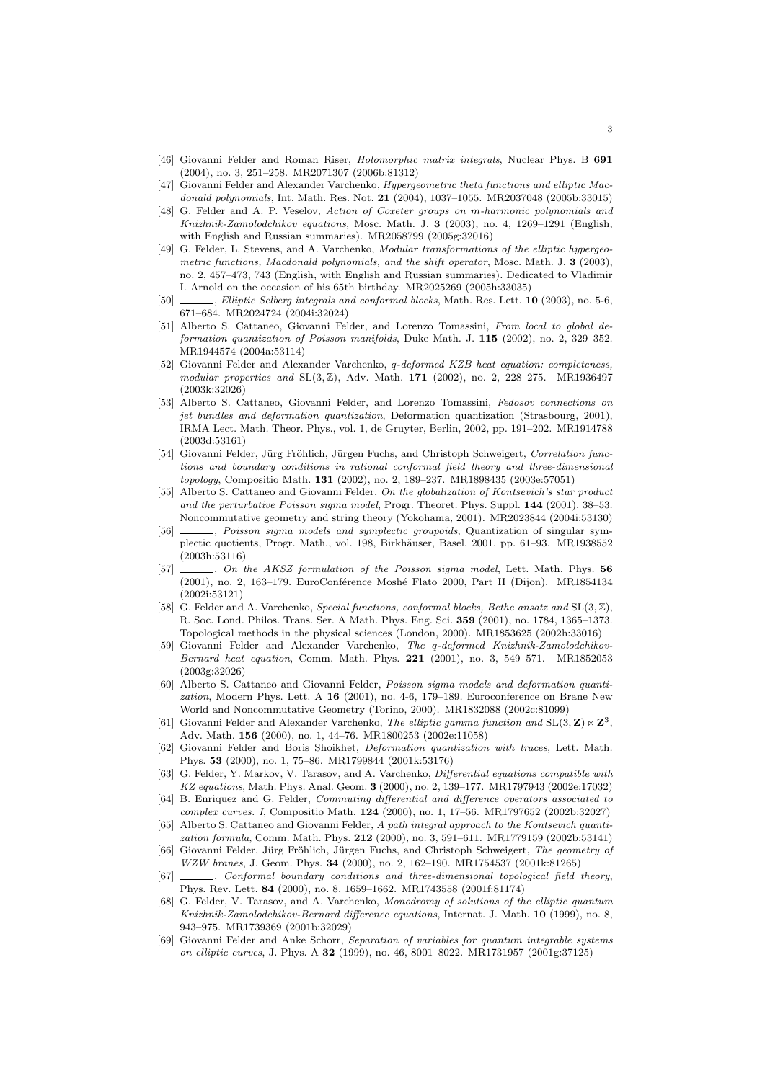- [46] Giovanni Felder and Roman Riser, Holomorphic matrix integrals, Nuclear Phys. B 691 (2004), no. 3, 251–258. MR2071307 (2006b:81312)
- [47] Giovanni Felder and Alexander Varchenko, Hypergeometric theta functions and elliptic Macdonald polynomials, Int. Math. Res. Not. 21 (2004), 1037-1055. MR2037048 (2005b:33015)
- [48] G. Felder and A. P. Veselov, Action of Coxeter groups on m-harmonic polynomials and Knizhnik-Zamolodchikov equations, Mosc. Math. J. 3 (2003), no. 4, 1269–1291 (English, with English and Russian summaries). MR2058799 (2005g:32016)
- [49] G. Felder, L. Stevens, and A. Varchenko, *Modular transformations of the elliptic hypergeo*metric functions, Macdonald polynomials, and the shift operator, Mosc. Math. J. 3 (2003). no. 2, 457–473, 743 (English, with English and Russian summaries). Dedicated to Vladimir I. Arnold on the occasion of his 65th birthday. MR2025269 (2005h:33035)
- [50] , Elliptic Selberg integrals and conformal blocks, Math. Res. Lett. 10 (2003), no. 5-6, 671–684. MR2024724 (2004i:32024)
- [51] Alberto S. Cattaneo, Giovanni Felder, and Lorenzo Tomassini, From local to global deformation quantization of Poisson manifolds, Duke Math. J. 115 (2002), no. 2, 329–352. MR1944574 (2004a:53114)
- [52] Giovanni Felder and Alexander Varchenko, q-deformed KZB heat equation: completeness, modular properties and  $SL(3, \mathbb{Z})$ , Adv. Math. 171 (2002), no. 2, 228–275. MR1936497 (2003k:32026)
- [53] Alberto S. Cattaneo, Giovanni Felder, and Lorenzo Tomassini, Fedosov connections on jet bundles and deformation quantization, Deformation quantization (Strasbourg, 2001), IRMA Lect. Math. Theor. Phys., vol. 1, de Gruyter, Berlin, 2002, pp. 191–202. MR1914788 (2003d:53161)
- Giovanni Felder, Jürg Fröhlich, Jürgen Fuchs, and Christoph Schweigert, Correlation functions and boundary conditions in rational conformal field theory and three-dimensional topology, Compositio Math. 131 (2002), no. 2, 189–237. MR1898435 (2003e:57051)
- [55] Alberto S. Cattaneo and Giovanni Felder, On the globalization of Kontsevich's star product and the perturbative Poisson sigma model, Progr. Theoret. Phys. Suppl. 144 (2001), 38–53. Noncommutative geometry and string theory (Yokohama, 2001). MR2023844 (2004i:53130)
- [56]  $\_\_\_\_\_\$ n Poisson sigma models and symplectic groupoids, Quantization of singular symplectic quotients, Progr. Math., vol. 198, Birkh¨auser, Basel, 2001, pp. 61–93. MR1938552 (2003h:53116)
- [57]  $\ldots$ , On the AKSZ formulation of the Poisson sigma model, Lett. Math. Phys. 56 (2001), no. 2, 163-179. EuroConférence Moshé Flato 2000, Part II (Dijon). MR1854134 (2002i:53121)
- [58] G. Felder and A. Varchenko, Special functions, conformal blocks, Bethe ansatz and  $SL(3, \mathbb{Z})$ , R. Soc. Lond. Philos. Trans. Ser. A Math. Phys. Eng. Sci. 359 (2001), no. 1784, 1365–1373. Topological methods in the physical sciences (London, 2000). MR1853625 (2002h:33016)
- [59] Giovanni Felder and Alexander Varchenko, The q-deformed Knizhnik-Zamolodchikov-Bernard heat equation, Comm. Math. Phys. 221 (2001), no. 3, 549–571. MR1852053 (2003g:32026)
- [60] Alberto S. Cattaneo and Giovanni Felder, Poisson sigma models and deformation quantization, Modern Phys. Lett. A  $16$  (2001), no. 4-6, 179–189. Euroconference on Brane New World and Noncommutative Geometry (Torino, 2000). MR1832088 (2002c:81099)
- [61] Giovanni Felder and Alexander Varchenko, The elliptic gamma function and  $SL(3, \mathbb{Z}) \ltimes \mathbb{Z}^3$ , Adv. Math. 156 (2000), no. 1, 44–76. MR1800253 (2002e:11058)
- [62] Giovanni Felder and Boris Shoikhet, Deformation quantization with traces, Lett. Math. Phys. 53 (2000), no. 1, 75–86. MR1799844 (2001k:53176)
- [63] G. Felder, Y. Markov, V. Tarasov, and A. Varchenko, Differential equations compatible with KZ equations, Math. Phys. Anal. Geom. 3 (2000), no. 2, 139–177. MR1797943 (2002e:17032)
- [64] B. Enriquez and G. Felder, Commuting differential and difference operators associated to complex curves. I, Compositio Math. 124 (2000), no. 1, 17–56. MR1797652 (2002b:32027)
- [65] Alberto S. Cattaneo and Giovanni Felder, A path integral approach to the Kontsevich quantization formula, Comm. Math. Phys. 212 (2000), no. 3, 591–611. MR1779159 (2002b:53141)
- [66] Giovanni Felder, Jürg Fröhlich, Jürgen Fuchs, and Christoph Schweigert, The geometry of WZW branes, J. Geom. Phys. 34 (2000), no. 2, 162–190. MR1754537 (2001k:81265)
- [67]  $\ldots$ , Conformal boundary conditions and three-dimensional topological field theory, Phys. Rev. Lett. 84 (2000), no. 8, 1659–1662. MR1743558 (2001f:81174)
- [68] G. Felder, V. Tarasov, and A. Varchenko, Monodromy of solutions of the elliptic quantum Knizhnik-Zamolodchikov-Bernard difference equations, Internat. J. Math. 10 (1999), no. 8, 943–975. MR1739369 (2001b:32029)
- [69] Giovanni Felder and Anke Schorr, Separation of variables for quantum integrable systems on elliptic curves, J. Phys. A 32 (1999), no. 46, 8001–8022. MR1731957 (2001g:37125)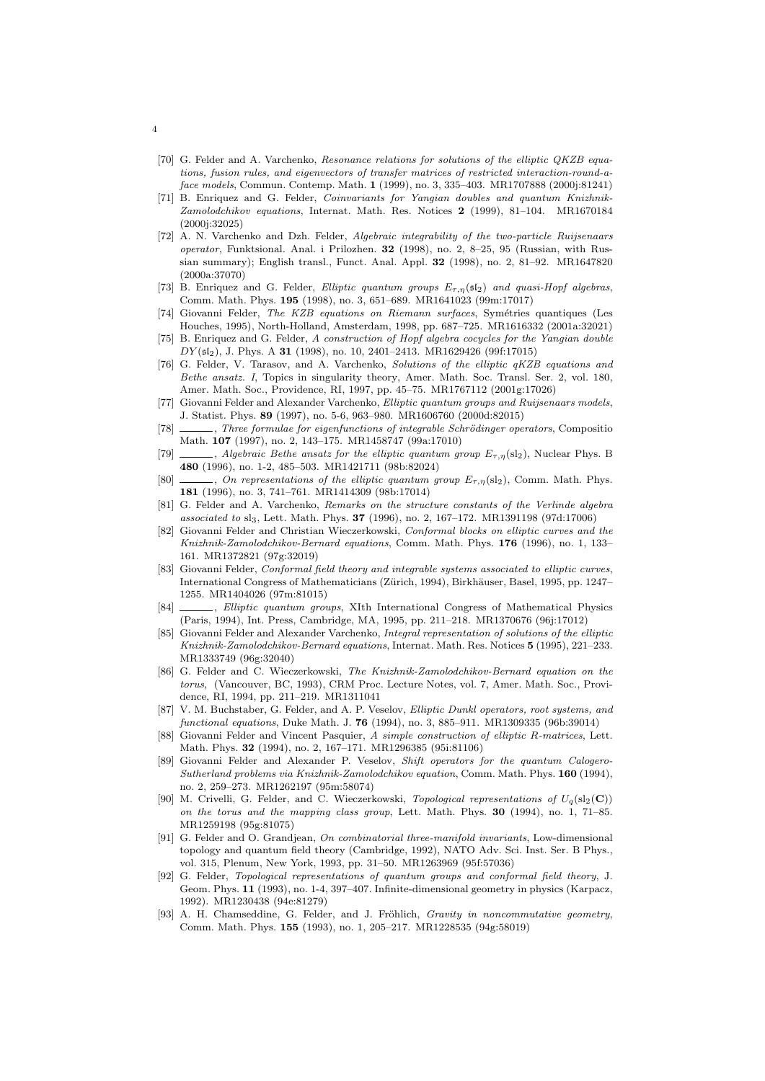- [70] G. Felder and A. Varchenko, Resonance relations for solutions of the elliptic QKZB equations, fusion rules, and eigenvectors of transfer matrices of restricted interaction-round-aface models, Commun. Contemp. Math. 1 (1999), no. 3, 335–403. MR1707888 (2000j:81241)
- [71] B. Enriquez and G. Felder, Coinvariants for Yangian doubles and quantum Knizhnik-Zamolodchikov equations, Internat. Math. Res. Notices 2 (1999), 81–104. MR1670184 (2000j:32025)
- [72] A. N. Varchenko and Dzh. Felder, Algebraic integrability of the two-particle Ruijsenaars operator, Funktsional. Anal. i Prilozhen. 32 (1998), no. 2, 8–25, 95 (Russian, with Russian summary); English transl., Funct. Anal. Appl. 32 (1998), no. 2, 81–92. MR1647820 (2000a:37070)
- [73] B. Enriquez and G. Felder, Elliptic quantum groups  $E_{\tau,\eta}(\mathfrak{sl}_2)$  and quasi-Hopf algebras, Comm. Math. Phys. 195 (1998), no. 3, 651–689. MR1641023 (99m:17017)
- [74] Giovanni Felder, The KZB equations on Riemann surfaces, Symétries quantiques (Les Houches, 1995), North-Holland, Amsterdam, 1998, pp. 687–725. MR1616332 (2001a:32021)
- [75] B. Enriquez and G. Felder, A construction of Hopf algebra cocycles for the Yangian double DY (sl2), J. Phys. A 31 (1998), no. 10, 2401–2413. MR1629426 (99f:17015)
- [76] G. Felder, V. Tarasov, and A. Varchenko, Solutions of the elliptic qKZB equations and Bethe ansatz. I, Topics in singularity theory, Amer. Math. Soc. Transl. Ser. 2, vol. 180, Amer. Math. Soc., Providence, RI, 1997, pp. 45–75. MR1767112 (2001g:17026)
- [77] Giovanni Felder and Alexander Varchenko, *Elliptic quantum groups and Ruijsenaars models*. J. Statist. Phys. 89 (1997), no. 5-6, 963–980. MR1606760 (2000d:82015)
- [78] , Three formulae for eigenfunctions of integrable Schrödinger operators, Composition Math. 107 (1997), no. 2, 143–175. MR1458747 (99a:17010)
- [79]  $\_\_\_\_\$ , Algebraic Bethe ansatz for the elliptic quantum group  $E_{\tau,n}(\text{sl}_2)$ , Nuclear Phys. B 480 (1996), no. 1-2, 485–503. MR1421711 (98b:82024)
- [80]  $\ldots$ , On representations of the elliptic quantum group  $E_{\tau,\eta}(\text{sl}_2)$ , Comm. Math. Phys. 181 (1996), no. 3, 741–761. MR1414309 (98b:17014)
- [81] G. Felder and A. Varchenko, Remarks on the structure constants of the Verlinde algebra associated to sl3, Lett. Math. Phys. 37 (1996), no. 2, 167–172. MR1391198 (97d:17006)
- [82] Giovanni Felder and Christian Wieczerkowski, Conformal blocks on elliptic curves and the Knizhnik-Zamolodchikov-Bernard equations, Comm. Math. Phys. 176 (1996), no. 1, 133– 161. MR1372821 (97g:32019)
- [83] Giovanni Felder, Conformal field theory and integrable systems associated to elliptic curves, International Congress of Mathematicians (Zürich, 1994), Birkhäuser, Basel, 1995, pp. 1247– 1255. MR1404026 (97m:81015)
- [84] , Elliptic quantum groups, XIth International Congress of Mathematical Physics (Paris, 1994), Int. Press, Cambridge, MA, 1995, pp. 211–218. MR1370676 (96j:17012)
- [85] Giovanni Felder and Alexander Varchenko, Integral representation of solutions of the elliptic Knizhnik-Zamolodchikov-Bernard equations, Internat. Math. Res. Notices 5 (1995), 221–233. MR1333749 (96g:32040)
- [86] G. Felder and C. Wieczerkowski, The Knizhnik-Zamolodchikov-Bernard equation on the torus, (Vancouver, BC, 1993), CRM Proc. Lecture Notes, vol. 7, Amer. Math. Soc., Providence, RI, 1994, pp. 211–219. MR1311041
- [87] V. M. Buchstaber, G. Felder, and A. P. Veselov, Elliptic Dunkl operators, root systems, and functional equations, Duke Math. J. 76 (1994), no. 3, 885–911. MR1309335 (96b:39014)
- [88] Giovanni Felder and Vincent Pasquier, A simple construction of elliptic R-matrices, Lett. Math. Phys. 32 (1994), no. 2, 167–171. MR1296385 (95i:81106)
- [89] Giovanni Felder and Alexander P. Veselov, Shift operators for the quantum Calogero-Sutherland problems via Knizhnik-Zamolodchikov equation, Comm. Math. Phys. 160 (1994), no. 2, 259–273. MR1262197 (95m:58074)
- [90] M. Crivelli, G. Felder, and C. Wieczerkowski, Topological representations of  $U_q(\mathrm{sl}_2(\mathbf{C}))$ on the torus and the mapping class group, Lett. Math. Phys. 30 (1994), no. 1, 71–85. MR1259198 (95g:81075)
- [91] G. Felder and O. Grandjean, On combinatorial three-manifold invariants, Low-dimensional topology and quantum field theory (Cambridge, 1992), NATO Adv. Sci. Inst. Ser. B Phys., vol. 315, Plenum, New York, 1993, pp. 31–50. MR1263969 (95f:57036)
- [92] G. Felder, Topological representations of quantum groups and conformal field theory, J. Geom. Phys. 11 (1993), no. 1-4, 397–407. Infinite-dimensional geometry in physics (Karpacz, 1992). MR1230438 (94e:81279)
- [93] A. H. Chamseddine, G. Felder, and J. Fröhlich, Gravity in noncommutative geometry, Comm. Math. Phys. 155 (1993), no. 1, 205–217. MR1228535 (94g:58019)

4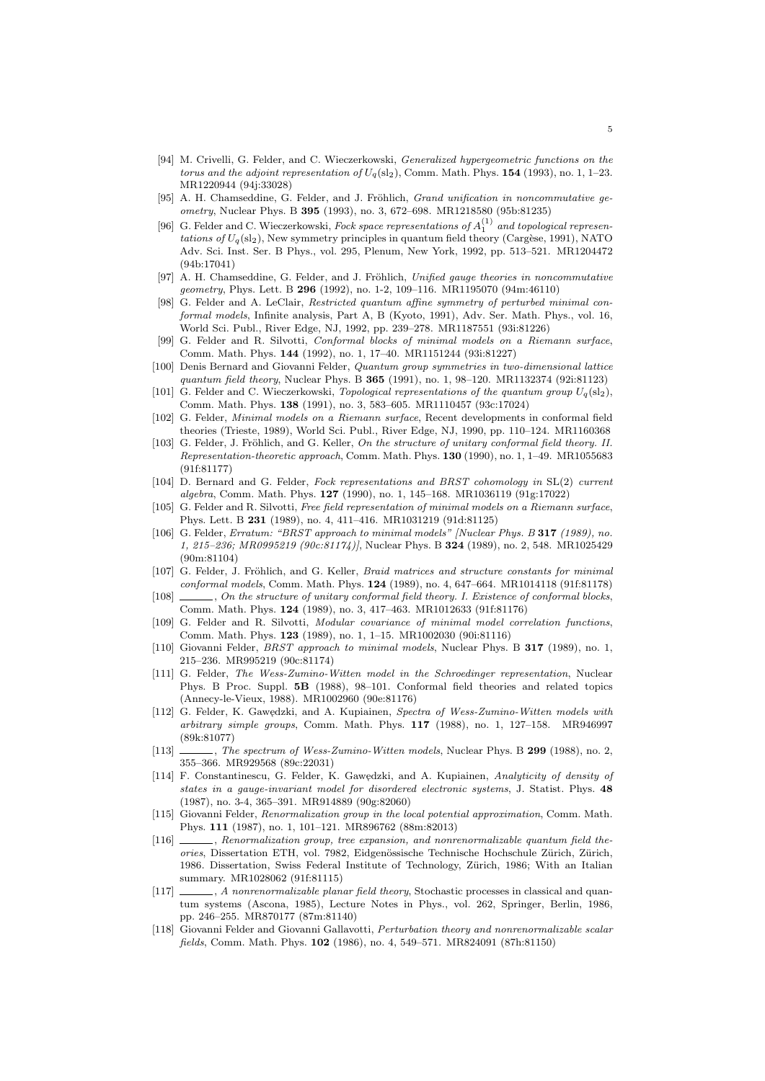- [94] M. Crivelli, G. Felder, and C. Wieczerkowski, *Generalized hypergeometric functions on the* torus and the adjoint representation of  $U_q(\text{sl}_2)$ , Comm. Math. Phys. 154 (1993), no. 1, 1–23. MR1220944 (94j:33028)
- [95] A. H. Chamseddine, G. Felder, and J. Fröhlich, *Grand unification in noncommutative qe*ometry, Nuclear Phys. B 395 (1993), no. 3, 672–698. MR1218580 (95b:81235)
- [96] G. Felder and C. Wieczerkowski, Fock space representations of  $A_1^{(1)}$  and topological representations of  $U_q(\mathrm{sl}_2)$ , New symmetry principles in quantum field theory (Cargèse, 1991), NATO Adv. Sci. Inst. Ser. B Phys., vol. 295, Plenum, New York, 1992, pp. 513–521. MR1204472 (94b:17041)
- [97] A. H. Chamseddine, G. Felder, and J. Fröhlich, Unified gauge theories in noncommutative geometry, Phys. Lett. B 296 (1992), no. 1-2, 109–116. MR1195070 (94m:46110)
- [98] G. Felder and A. LeClair, Restricted quantum affine symmetry of perturbed minimal conformal models, Infinite analysis, Part A, B (Kyoto, 1991), Adv. Ser. Math. Phys., vol. 16, World Sci. Publ., River Edge, NJ, 1992, pp. 239–278. MR1187551 (93i:81226)
- [99] G. Felder and R. Silvotti, Conformal blocks of minimal models on a Riemann surface, Comm. Math. Phys. 144 (1992), no. 1, 17–40. MR1151244 (93i:81227)
- [100] Denis Bernard and Giovanni Felder, Quantum group symmetries in two-dimensional lattice quantum field theory, Nuclear Phys. B 365 (1991), no. 1, 98–120. MR1132374 (92i:81123)
- [101] G. Felder and C. Wieczerkowski, Topological representations of the quantum group  $U_q(\text{sl}_2)$ , Comm. Math. Phys. 138 (1991), no. 3, 583–605. MR1110457 (93c:17024)
- [102] G. Felder, Minimal models on a Riemann surface, Recent developments in conformal field theories (Trieste, 1989), World Sci. Publ., River Edge, NJ, 1990, pp. 110–124. MR1160368
- [103] G. Felder, J. Fröhlich, and G. Keller, On the structure of unitary conformal field theory. II. Representation-theoretic approach, Comm. Math. Phys. 130 (1990), no. 1, 1–49. MR1055683 (91f:81177)
- [104] D. Bernard and G. Felder, Fock representations and BRST cohomology in SL(2) current algebra, Comm. Math. Phys. 127 (1990), no. 1, 145–168. MR1036119 (91g:17022)
- [105] G. Felder and R. Silvotti, Free field representation of minimal models on a Riemann surface, Phys. Lett. B 231 (1989), no. 4, 411–416. MR1031219 (91d:81125)
- [106] G. Felder, Erratum: "BRST approach to minimal models" [Nuclear Phys. B 317 (1989), no. 1, 215–236; MR0995219 (90c:81174)], Nuclear Phys. B 324 (1989), no. 2, 548. MR1025429 (90m:81104)
- [107] G. Felder, J. Fröhlich, and G. Keller, *Braid matrices and structure constants for minimal* conformal models, Comm. Math. Phys. 124 (1989), no. 4, 647–664. MR1014118 (91f:81178)
- [108] , On the structure of unitary conformal field theory. I. Existence of conformal blocks, Comm. Math. Phys. 124 (1989), no. 3, 417–463. MR1012633 (91f:81176)
- [109] G. Felder and R. Silvotti, Modular covariance of minimal model correlation functions, Comm. Math. Phys. 123 (1989), no. 1, 1–15. MR1002030 (90i:81116)
- [110] Giovanni Felder, BRST approach to minimal models, Nuclear Phys. B 317 (1989), no. 1, 215–236. MR995219 (90c:81174)
- [111] G. Felder, The Wess-Zumino-Witten model in the Schroedinger representation, Nuclear Phys. B Proc. Suppl. 5B (1988), 98–101. Conformal field theories and related topics (Annecy-le-Vieux, 1988). MR1002960 (90e:81176)
- [112] G. Felder, K. Gawędzki, and A. Kupiainen, Spectra of Wess-Zumino-Witten models with arbitrary simple groups, Comm. Math. Phys.  $117$  (1988), no. 1, 127–158. MR946997 (89k:81077)
- [113] , The spectrum of Wess-Zumino-Witten models, Nuclear Phys. B 299 (1988), no. 2, 355–366. MR929568 (89c:22031)
- [114] F. Constantinescu, G. Felder, K. Gawędzki, and A. Kupiainen, Analyticity of density of states in a gauge-invariant model for disordered electronic systems, J. Statist. Phys. 48 (1987), no. 3-4, 365–391. MR914889 (90g:82060)
- [115] Giovanni Felder, Renormalization group in the local potential approximation, Comm. Math. Phys. 111 (1987), no. 1, 101–121. MR896762 (88m:82013)
- [116] , Renormalization group, tree expansion, and nonrenormalizable quantum field theories, Dissertation ETH, vol. 7982, Eidgenössische Technische Hochschule Zürich, Zürich, 1986. Dissertation, Swiss Federal Institute of Technology, Zürich, 1986; With an Italian summary. MR1028062 (91f:81115)
- [117]  $\ldots$ , A nonrenormalizable planar field theory, Stochastic processes in classical and quantum systems (Ascona, 1985), Lecture Notes in Phys., vol. 262, Springer, Berlin, 1986, pp. 246–255. MR870177 (87m:81140)
- Giovanni Felder and Giovanni Gallavotti, Perturbation theory and nonrenormalizable scalar fields, Comm. Math. Phys. 102 (1986), no. 4, 549–571. MR824091 (87h:81150)